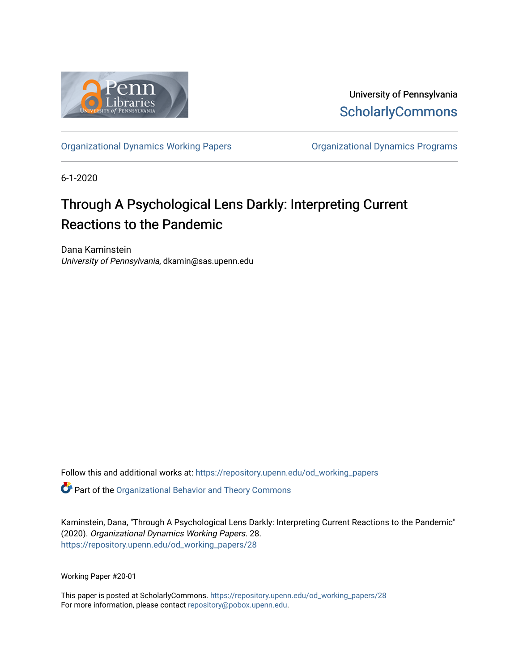

University of Pennsylvania **ScholarlyCommons** 

[Organizational Dynamics Working Papers](https://repository.upenn.edu/od_working_papers) [Organizational Dynamics Programs](https://repository.upenn.edu/organizational_dynamics) 

6-1-2020

# Through A Psychological Lens Darkly: Interpreting Current Reactions to the Pandemic

Dana Kaminstein University of Pennsylvania, dkamin@sas.upenn.edu

Follow this and additional works at: [https://repository.upenn.edu/od\\_working\\_papers](https://repository.upenn.edu/od_working_papers?utm_source=repository.upenn.edu%2Fod_working_papers%2F28&utm_medium=PDF&utm_campaign=PDFCoverPages) 

**C** Part of the Organizational Behavior and Theory Commons

Kaminstein, Dana, "Through A Psychological Lens Darkly: Interpreting Current Reactions to the Pandemic" (2020). Organizational Dynamics Working Papers. 28. [https://repository.upenn.edu/od\\_working\\_papers/28](https://repository.upenn.edu/od_working_papers/28?utm_source=repository.upenn.edu%2Fod_working_papers%2F28&utm_medium=PDF&utm_campaign=PDFCoverPages)

Working Paper #20-01

This paper is posted at ScholarlyCommons. [https://repository.upenn.edu/od\\_working\\_papers/28](https://repository.upenn.edu/od_working_papers/28) For more information, please contact [repository@pobox.upenn.edu.](mailto:repository@pobox.upenn.edu)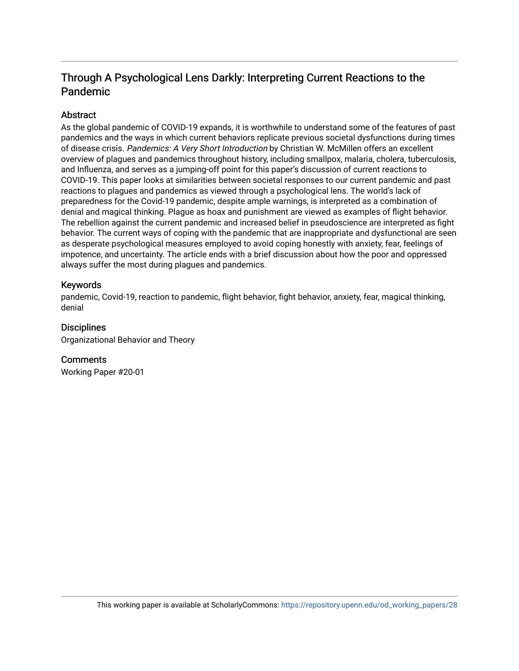# Through A Psychological Lens Darkly: Interpreting Current Reactions to the Pandemic

#### Abstract

As the global pandemic of COVID-19 expands, it is worthwhile to understand some of the features of past pandemics and the ways in which current behaviors replicate previous societal dysfunctions during times of disease crisis. Pandemics: A Very Short Introduction by Christian W. McMillen offers an excellent overview of plagues and pandemics throughout history, including smallpox, malaria, cholera, tuberculosis, and Influenza, and serves as a jumping-off point for this paper's discussion of current reactions to COVID-19. This paper looks at similarities between societal responses to our current pandemic and past reactions to plagues and pandemics as viewed through a psychological lens. The world's lack of preparedness for the Covid-19 pandemic, despite ample warnings, is interpreted as a combination of denial and magical thinking. Plague as hoax and punishment are viewed as examples of flight behavior. The rebellion against the current pandemic and increased belief in pseudoscience are interpreted as fight behavior. The current ways of coping with the pandemic that are inappropriate and dysfunctional are seen as desperate psychological measures employed to avoid coping honestly with anxiety, fear, feelings of impotence, and uncertainty. The article ends with a brief discussion about how the poor and oppressed always suffer the most during plagues and pandemics.

#### Keywords

pandemic, Covid-19, reaction to pandemic, flight behavior, fight behavior, anxiety, fear, magical thinking, denial

#### **Disciplines**

Organizational Behavior and Theory

#### **Comments**

Working Paper #20-01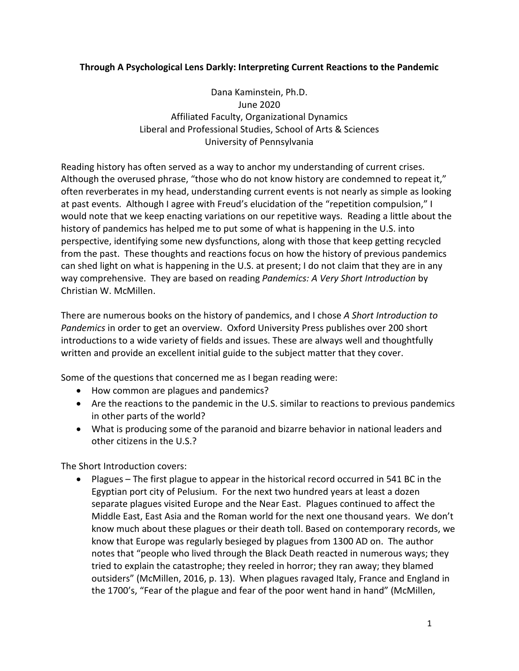## **Through A Psychological Lens Darkly: Interpreting Current Reactions to the Pandemic**

Dana Kaminstein, Ph.D. June 2020 Affiliated Faculty, Organizational Dynamics Liberal and Professional Studies, School of Arts & Sciences University of Pennsylvania

Reading history has often served as a way to anchor my understanding of current crises. Although the overused phrase, "those who do not know history are condemned to repeat it," often reverberates in my head, understanding current events is not nearly as simple as looking at past events. Although I agree with Freud's elucidation of the "repetition compulsion," I would note that we keep enacting variations on our repetitive ways. Reading a little about the history of pandemics has helped me to put some of what is happening in the U.S. into perspective, identifying some new dysfunctions, along with those that keep getting recycled from the past. These thoughts and reactions focus on how the history of previous pandemics can shed light on what is happening in the U.S. at present; I do not claim that they are in any way comprehensive. They are based on reading *Pandemics: A Very Short Introduction* by Christian W. McMillen.

There are numerous books on the history of pandemics, and I chose *A Short Introduction to Pandemics* in order to get an overview. Oxford University Press publishes over 200 short introductions to a wide variety of fields and issues. These are always well and thoughtfully written and provide an excellent initial guide to the subject matter that they cover.

Some of the questions that concerned me as I began reading were:

- How common are plagues and pandemics?
- Are the reactions to the pandemic in the U.S. similar to reactions to previous pandemics in other parts of the world?
- What is producing some of the paranoid and bizarre behavior in national leaders and other citizens in the U.S.?

The Short Introduction covers:

• Plagues – The first plague to appear in the historical record occurred in 541 BC in the Egyptian port city of Pelusium. For the next two hundred years at least a dozen separate plagues visited Europe and the Near East. Plagues continued to affect the Middle East, East Asia and the Roman world for the next one thousand years. We don't know much about these plagues or their death toll. Based on contemporary records, we know that Europe was regularly besieged by plagues from 1300 AD on. The author notes that "people who lived through the Black Death reacted in numerous ways; they tried to explain the catastrophe; they reeled in horror; they ran away; they blamed outsiders" (McMillen, 2016, p. 13). When plagues ravaged Italy, France and England in the 1700's, "Fear of the plague and fear of the poor went hand in hand" (McMillen,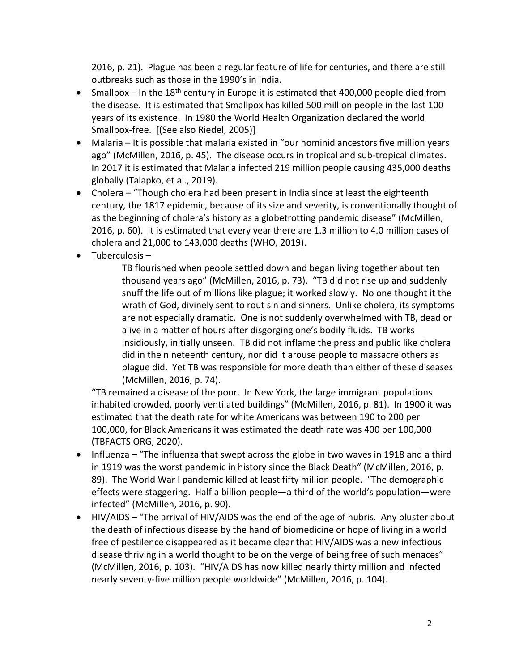2016, p. 21). Plague has been a regular feature of life for centuries, and there are still outbreaks such as those in the 1990's in India.

- Smallpox In the 18<sup>th</sup> century in Europe it is estimated that 400,000 people died from the disease. It is estimated that Smallpox has killed 500 million people in the last 100 years of its existence. In 1980 the World Health Organization declared the world Smallpox-free. [(See also Riedel, 2005)]
- Malaria It is possible that malaria existed in "our hominid ancestors five million years ago" (McMillen, 2016, p. 45). The disease occurs in tropical and sub-tropical climates. In 2017 it is estimated that Malaria infected 219 million people causing 435,000 deaths globally (Talapko, et al., 2019).
- Cholera "Though cholera had been present in India since at least the eighteenth century, the 1817 epidemic, because of its size and severity, is conventionally thought of as the beginning of cholera's history as a globetrotting pandemic disease" (McMillen, 2016, p. 60). It is estimated that every year there are 1.3 million to 4.0 million cases of cholera and 21,000 to 143,000 deaths (WHO, 2019).
- Tuberculosis –

TB flourished when people settled down and began living together about ten thousand years ago" (McMillen, 2016, p. 73). "TB did not rise up and suddenly snuff the life out of millions like plague; it worked slowly. No one thought it the wrath of God, divinely sent to rout sin and sinners. Unlike cholera, its symptoms are not especially dramatic. One is not suddenly overwhelmed with TB, dead or alive in a matter of hours after disgorging one's bodily fluids. TB works insidiously, initially unseen. TB did not inflame the press and public like cholera did in the nineteenth century, nor did it arouse people to massacre others as plague did. Yet TB was responsible for more death than either of these diseases (McMillen, 2016, p. 74).

"TB remained a disease of the poor. In New York, the large immigrant populations inhabited crowded, poorly ventilated buildings" (McMillen, 2016, p. 81). In 1900 it was estimated that the death rate for white Americans was between 190 to 200 per 100,000, for Black Americans it was estimated the death rate was 400 per 100,000 (TBFACTS ORG, 2020).

- Influenza "The influenza that swept across the globe in two waves in 1918 and a third in 1919 was the worst pandemic in history since the Black Death" (McMillen, 2016, p. 89). The World War I pandemic killed at least fifty million people. "The demographic effects were staggering. Half a billion people—a third of the world's population—were infected" (McMillen, 2016, p. 90).
- HIV/AIDS "The arrival of HIV/AIDS was the end of the age of hubris. Any bluster about the death of infectious disease by the hand of biomedicine or hope of living in a world free of pestilence disappeared as it became clear that HIV/AIDS was a new infectious disease thriving in a world thought to be on the verge of being free of such menaces" (McMillen, 2016, p. 103). "HIV/AIDS has now killed nearly thirty million and infected nearly seventy-five million people worldwide" (McMillen, 2016, p. 104).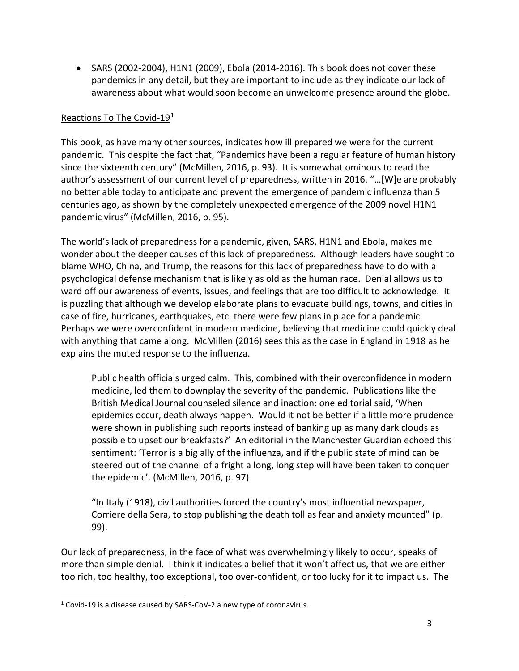• SARS (2002-2004), H1N1 (2009), Ebola (2014-2016). This book does not cover these pandemics in any detail, but they are important to include as they indicate our lack of awareness about what would soon become an unwelcome presence around the globe.

#### Reactions To The Covid-19[1](#page-4-0)

This book, as have many other sources, indicates how ill prepared we were for the current pandemic. This despite the fact that, "Pandemics have been a regular feature of human history since the sixteenth century" (McMillen, 2016, p. 93). It is somewhat ominous to read the author's assessment of our current level of preparedness, written in 2016. "…[W]e are probably no better able today to anticipate and prevent the emergence of pandemic influenza than 5 centuries ago, as shown by the completely unexpected emergence of the 2009 novel H1N1 pandemic virus" (McMillen, 2016, p. 95).

The world's lack of preparedness for a pandemic, given, SARS, H1N1 and Ebola, makes me wonder about the deeper causes of this lack of preparedness. Although leaders have sought to blame WHO, China, and Trump, the reasons for this lack of preparedness have to do with a psychological defense mechanism that is likely as old as the human race. Denial allows us to ward off our awareness of events, issues, and feelings that are too difficult to acknowledge. It is puzzling that although we develop elaborate plans to evacuate buildings, towns, and cities in case of fire, hurricanes, earthquakes, etc. there were few plans in place for a pandemic. Perhaps we were overconfident in modern medicine, believing that medicine could quickly deal with anything that came along. McMillen (2016) sees this as the case in England in 1918 as he explains the muted response to the influenza.

Public health officials urged calm. This, combined with their overconfidence in modern medicine, led them to downplay the severity of the pandemic. Publications like the British Medical Journal counseled silence and inaction: one editorial said, 'When epidemics occur, death always happen. Would it not be better if a little more prudence were shown in publishing such reports instead of banking up as many dark clouds as possible to upset our breakfasts?' An editorial in the Manchester Guardian echoed this sentiment: 'Terror is a big ally of the influenza, and if the public state of mind can be steered out of the channel of a fright a long, long step will have been taken to conquer the epidemic'. (McMillen, 2016, p. 97)

"In Italy (1918), civil authorities forced the country's most influential newspaper, Corriere della Sera, to stop publishing the death toll as fear and anxiety mounted" (p. 99).

Our lack of preparedness, in the face of what was overwhelmingly likely to occur, speaks of more than simple denial. I think it indicates a belief that it won't affect us, that we are either too rich, too healthy, too exceptional, too over-confident, or too lucky for it to impact us. The

<span id="page-4-0"></span> <sup>1</sup> Covid-19 is a disease caused by SARS-CoV-2 a new type of coronavirus.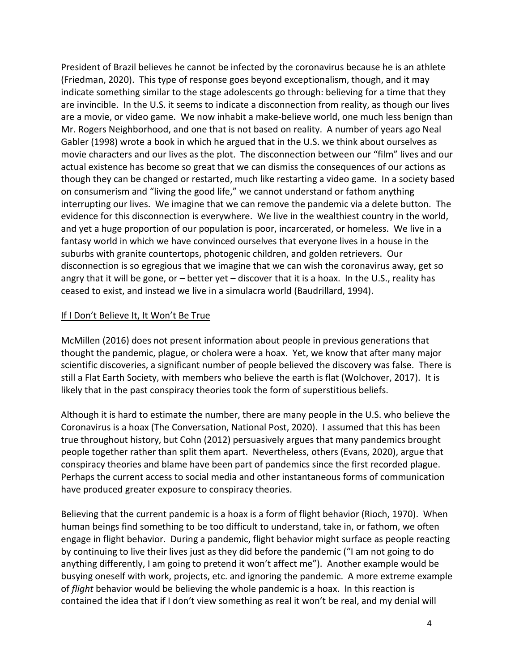President of Brazil believes he cannot be infected by the coronavirus because he is an athlete (Friedman, 2020). This type of response goes beyond exceptionalism, though, and it may indicate something similar to the stage adolescents go through: believing for a time that they are invincible. In the U.S. it seems to indicate a disconnection from reality, as though our lives are a movie, or video game. We now inhabit a make-believe world, one much less benign than Mr. Rogers Neighborhood, and one that is not based on reality. A number of years ago Neal Gabler (1998) wrote a book in which he argued that in the U.S. we think about ourselves as movie characters and our lives as the plot. The disconnection between our "film" lives and our actual existence has become so great that we can dismiss the consequences of our actions as though they can be changed or restarted, much like restarting a video game. In a society based on consumerism and "living the good life," we cannot understand or fathom anything interrupting our lives. We imagine that we can remove the pandemic via a delete button. The evidence for this disconnection is everywhere. We live in the wealthiest country in the world, and yet a huge proportion of our population is poor, incarcerated, or homeless. We live in a fantasy world in which we have convinced ourselves that everyone lives in a house in the suburbs with granite countertops, photogenic children, and golden retrievers. Our disconnection is so egregious that we imagine that we can wish the coronavirus away, get so angry that it will be gone, or – better yet – discover that it is a hoax. In the U.S., reality has ceased to exist, and instead we live in a simulacra world (Baudrillard, 1994).

#### If I Don't Believe It, It Won't Be True

McMillen (2016) does not present information about people in previous generations that thought the pandemic, plague, or cholera were a hoax. Yet, we know that after many major scientific discoveries, a significant number of people believed the discovery was false. There is still a Flat Earth Society, with members who believe the earth is flat (Wolchover, 2017). It is likely that in the past conspiracy theories took the form of superstitious beliefs.

Although it is hard to estimate the number, there are many people in the U.S. who believe the Coronavirus is a hoax (The Conversation, National Post, 2020). I assumed that this has been true throughout history, but Cohn (2012) persuasively argues that many pandemics brought people together rather than split them apart. Nevertheless, others (Evans, 2020), argue that conspiracy theories and blame have been part of pandemics since the first recorded plague. Perhaps the current access to social media and other instantaneous forms of communication have produced greater exposure to conspiracy theories.

Believing that the current pandemic is a hoax is a form of flight behavior (Rioch, 1970). When human beings find something to be too difficult to understand, take in, or fathom, we often engage in flight behavior. During a pandemic, flight behavior might surface as people reacting by continuing to live their lives just as they did before the pandemic ("I am not going to do anything differently, I am going to pretend it won't affect me"). Another example would be busying oneself with work, projects, etc. and ignoring the pandemic. A more extreme example of *flight* behavior would be believing the whole pandemic is a hoax. In this reaction is contained the idea that if I don't view something as real it won't be real, and my denial will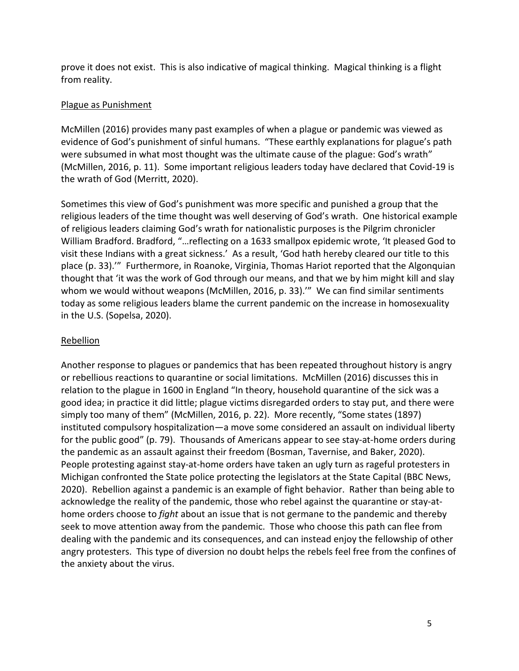prove it does not exist. This is also indicative of magical thinking. Magical thinking is a flight from reality.

## Plague as Punishment

McMillen (2016) provides many past examples of when a plague or pandemic was viewed as evidence of God's punishment of sinful humans. "These earthly explanations for plague's path were subsumed in what most thought was the ultimate cause of the plague: God's wrath" (McMillen, 2016, p. 11). Some important religious leaders today have declared that Covid-19 is the wrath of God (Merritt, 2020).

Sometimes this view of God's punishment was more specific and punished a group that the religious leaders of the time thought was well deserving of God's wrath. One historical example of religious leaders claiming God's wrath for nationalistic purposes is the Pilgrim chronicler William Bradford. Bradford, "…reflecting on a 1633 smallpox epidemic wrote, 'It pleased God to visit these Indians with a great sickness.' As a result, 'God hath hereby cleared our title to this place (p. 33).'" Furthermore, in Roanoke, Virginia, Thomas Hariot reported that the Algonquian thought that 'it was the work of God through our means, and that we by him might kill and slay whom we would without weapons (McMillen, 2016, p. 33).'" We can find similar sentiments today as some religious leaders blame the current pandemic on the increase in homosexuality in the U.S. (Sopelsa, 2020).

## Rebellion

Another response to plagues or pandemics that has been repeated throughout history is angry or rebellious reactions to quarantine or social limitations. McMillen (2016) discusses this in relation to the plague in 1600 in England "In theory, household quarantine of the sick was a good idea; in practice it did little; plague victims disregarded orders to stay put, and there were simply too many of them" (McMillen, 2016, p. 22). More recently, "Some states (1897) instituted compulsory hospitalization—a move some considered an assault on individual liberty for the public good" (p. 79). Thousands of Americans appear to see stay-at-home orders during the pandemic as an assault against their freedom (Bosman, Tavernise, and Baker, 2020). People protesting against stay-at-home orders have taken an ugly turn as rageful protesters in Michigan confronted the State police protecting the legislators at the State Capital (BBC News, 2020). Rebellion against a pandemic is an example of fight behavior. Rather than being able to acknowledge the reality of the pandemic, those who rebel against the quarantine or stay-athome orders choose to *fight* about an issue that is not germane to the pandemic and thereby seek to move attention away from the pandemic. Those who choose this path can flee from dealing with the pandemic and its consequences, and can instead enjoy the fellowship of other angry protesters. This type of diversion no doubt helps the rebels feel free from the confines of the anxiety about the virus.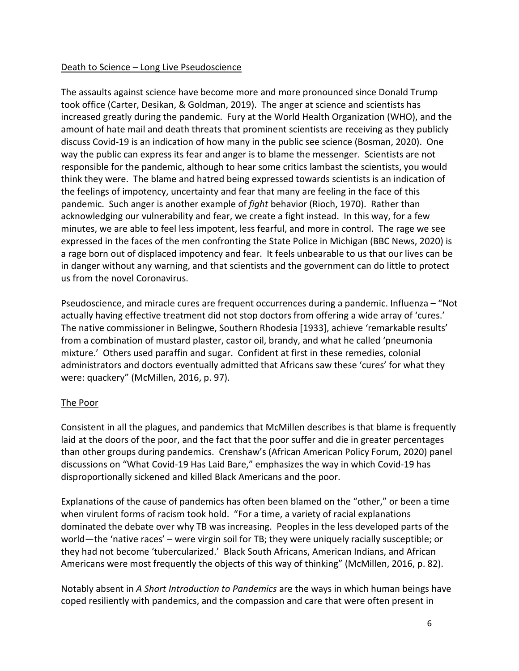#### Death to Science – Long Live Pseudoscience

The assaults against science have become more and more pronounced since Donald Trump took office (Carter, Desikan, & Goldman, 2019). The anger at science and scientists has increased greatly during the pandemic. Fury at the World Health Organization (WHO), and the amount of hate mail and death threats that prominent scientists are receiving as they publicly discuss Covid-19 is an indication of how many in the public see science (Bosman, 2020). One way the public can express its fear and anger is to blame the messenger. Scientists are not responsible for the pandemic, although to hear some critics lambast the scientists, you would think they were. The blame and hatred being expressed towards scientists is an indication of the feelings of impotency, uncertainty and fear that many are feeling in the face of this pandemic. Such anger is another example of *fight* behavior (Rioch, 1970). Rather than acknowledging our vulnerability and fear, we create a fight instead. In this way, for a few minutes, we are able to feel less impotent, less fearful, and more in control. The rage we see expressed in the faces of the men confronting the State Police in Michigan (BBC News, 2020) is a rage born out of displaced impotency and fear. It feels unbearable to us that our lives can be in danger without any warning, and that scientists and the government can do little to protect us from the novel Coronavirus.

Pseudoscience, and miracle cures are frequent occurrences during a pandemic. Influenza – "Not actually having effective treatment did not stop doctors from offering a wide array of 'cures.' The native commissioner in Belingwe, Southern Rhodesia [1933], achieve 'remarkable results' from a combination of mustard plaster, castor oil, brandy, and what he called 'pneumonia mixture.' Others used paraffin and sugar. Confident at first in these remedies, colonial administrators and doctors eventually admitted that Africans saw these 'cures' for what they were: quackery" (McMillen, 2016, p. 97).

# The Poor

Consistent in all the plagues, and pandemics that McMillen describes is that blame is frequently laid at the doors of the poor, and the fact that the poor suffer and die in greater percentages than other groups during pandemics. Crenshaw's (African American Policy Forum, 2020) panel discussions on "What Covid-19 Has Laid Bare," emphasizes the way in which Covid-19 has disproportionally sickened and killed Black Americans and the poor.

Explanations of the cause of pandemics has often been blamed on the "other," or been a time when virulent forms of racism took hold. "For a time, a variety of racial explanations dominated the debate over why TB was increasing. Peoples in the less developed parts of the world—the 'native races' – were virgin soil for TB; they were uniquely racially susceptible; or they had not become 'tubercularized.' Black South Africans, American Indians, and African Americans were most frequently the objects of this way of thinking" (McMillen, 2016, p. 82).

Notably absent in *A Short Introduction to Pandemics* are the ways in which human beings have coped resiliently with pandemics, and the compassion and care that were often present in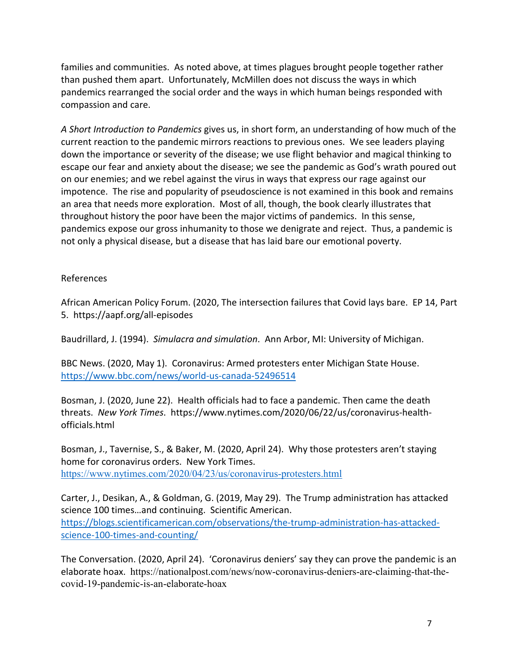families and communities. As noted above, at times plagues brought people together rather than pushed them apart. Unfortunately, McMillen does not discuss the ways in which pandemics rearranged the social order and the ways in which human beings responded with compassion and care.

*A Short Introduction to Pandemics* gives us, in short form, an understanding of how much of the current reaction to the pandemic mirrors reactions to previous ones. We see leaders playing down the importance or severity of the disease; we use flight behavior and magical thinking to escape our fear and anxiety about the disease; we see the pandemic as God's wrath poured out on our enemies; and we rebel against the virus in ways that express our rage against our impotence. The rise and popularity of pseudoscience is not examined in this book and remains an area that needs more exploration. Most of all, though, the book clearly illustrates that throughout history the poor have been the major victims of pandemics. In this sense, pandemics expose our gross inhumanity to those we denigrate and reject. Thus, a pandemic is not only a physical disease, but a disease that has laid bare our emotional poverty.

#### References

African American Policy Forum. (2020, The intersection failures that Covid lays bare. EP 14, Part 5. https://aapf.org/all-episodes

Baudrillard, J. (1994). *Simulacra and simulation*. Ann Arbor, MI: University of Michigan.

BBC News. (2020, May 1). Coronavirus: Armed protesters enter Michigan State House. <https://www.bbc.com/news/world-us-canada-52496514>

Bosman, J. (2020, June 22). Health officials had to face a pandemic. Then came the death threats. *New York Times*. https://www.nytimes.com/2020/06/22/us/coronavirus-healthofficials.html

Bosman, J., Tavernise, S., & Baker, M. (2020, April 24). Why those protesters aren't staying home for coronavirus orders. New York Times. <https://www.nytimes.com/2020/04/23/us/coronavirus-protesters.html>

Carter, J., Desikan, A., & Goldman, G. (2019, May 29). The Trump administration has attacked science 100 times…and continuing. Scientific American. [https://blogs.scientificamerican.com/observations/the-trump-administration-has-attacked](https://blogs.scientificamerican.com/observations/the-trump-administration-has-attacked-science-100-times-and-counting/)[science-100-times-and-counting/](https://blogs.scientificamerican.com/observations/the-trump-administration-has-attacked-science-100-times-and-counting/)

The Conversation. (2020, April 24). 'Coronavirus deniers' say they can prove the pandemic is an elaborate hoax. [https://nationalpost.com/news/now-coronavirus-deniers-are-claiming-that-the](https://nationalpost.com/news/now-coronavirus-deniers-are-claiming-that-the-covid-19-pandemic-is-an-elaborate-hoax)[covid-19-pandemic-is-an-elaborate-hoax](https://nationalpost.com/news/now-coronavirus-deniers-are-claiming-that-the-covid-19-pandemic-is-an-elaborate-hoax)